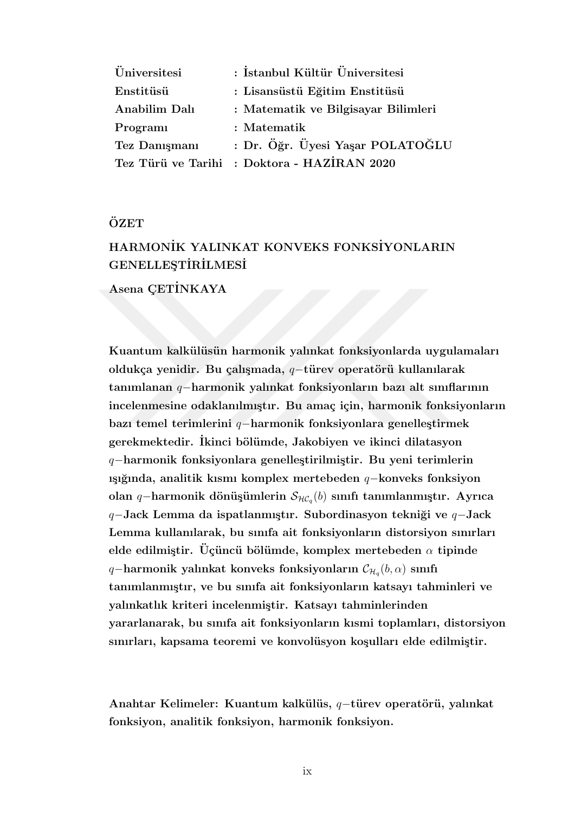| <i><u>Universitesi</u></i> | : İstanbul Kültür Üniversitesi              |
|----------------------------|---------------------------------------------|
| Enstitüsü                  | : Lisansüstü Eğitim Enstitüsü               |
| Anabilim Dalı              | : Matematik ve Bilgisayar Bilimleri         |
| Programi                   | : Matematik                                 |
| Tez Danışmanı              | : Dr. Öğr. Üyesi Yaşar POLATOĞLU            |
|                            | Tez Türü ve Tarihi : Doktora - HAZİRAN 2020 |

## ÖZET

# HARMON˙IK YALINKAT KONVEKS FONKS˙IYONLARIN GENELLESTİRİLMESİ

Asena CETİNKAYA

Kuantum kalkülüsün harmonik yalınkat fonksiyonlarda uygulamaları oldukça yenidir. Bu çalışmada, q–türev operatörü kullanılarak tanımlanan q−harmonik yalınkat fonksiyonların bazı alt sınıflarının incelenmesine odaklanılmıştır. Bu amaç için, harmonik fonksiyonların bazı temel terimlerini  $q$ −harmonik fonksiyonlara genelleştirmek gerekmektedir. Ikinci bölümde, Jakobiyen ve ikinci dilatasyon q−harmonik fonksiyonlara genelleştirilmiştir. Bu yeni terimlerin ışığında, analitik kısmı komplex mertebeden  $q$ −konveks fonksiyon olan q−harmonik dönüşümlerin  $\mathcal{S}_{{\mathcal{HC}}_q}(b)$  sınıfı tanımlanmıştır. Ayrıca q−Jack Lemma da ispatlanmıştır. Subordinasyon tekniği ve q–Jack Lemma kullanılarak, bu sınıfa ait fonksiyonların distorsiyon sınırları elde edilmiştir. Üçüncü bölümde, komplex mertebeden  $\alpha$  tipinde q–harmonik yalınkat konveks fonksiyonların  $\mathcal{C}_{\mathcal{H}_q}(b,\alpha)$  sınıfı tanımlanmıştır, ve bu sınıfa ait fonksiyonların katsayı tahminleri ve yalınkatlık kriteri incelenmiştir. Katsayı tahminlerinden yararlanarak, bu sınıfa ait fonksiyonların kısmi toplamları, distorsiyon sınırları, kapsama teoremi ve konvolüsyon koşulları elde edilmiştir.

Anahtar Kelimeler: Kuantum kalkülüs, q-türev operatörü, yalınkat fonksiyon, analitik fonksiyon, harmonik fonksiyon.